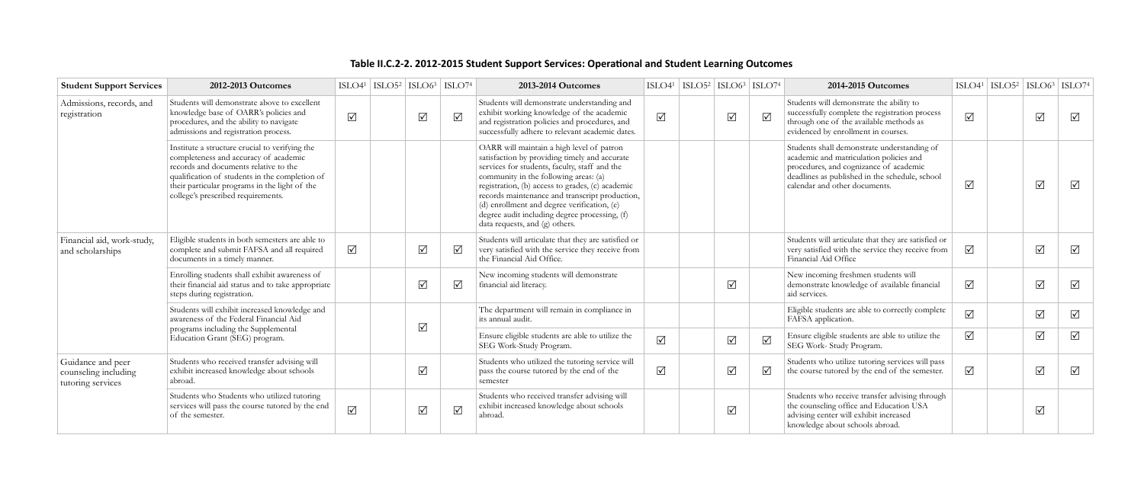## Table II.C.2-2. 2012-2015 Student Support Services: Operational and Student Learning Outcomes

| <b>Student Support Services</b>                                | 2012-2013 Outcomes                                                                                                                                                                                                                                                        |                 | $\text{ISLO4}^1$ $\text{ISLO5}^2$ $\text{ISLO6}^3$ $\text{ISLO7}^4$ |            |                 | 2013-2014 Outcomes                                                                                                                                                                                                                                                                                                                                                                                                           |            | $\left  \text{ISLO4}^1 \right $ $\left  \text{ISLO5}^2 \right $ $\left  \text{ISLO6}^3 \right $ $\left  \text{ISLO7}^4 \right $ |          | 2014-2015 Outcomes                                                                                                                                                                                                  |            | $\text{ISLO4}^1$ $\text{ISLO5}^2$ $\text{ISLO6}^3$ $\text{ISLO7}^4$ |            |            |
|----------------------------------------------------------------|---------------------------------------------------------------------------------------------------------------------------------------------------------------------------------------------------------------------------------------------------------------------------|-----------------|---------------------------------------------------------------------|------------|-----------------|------------------------------------------------------------------------------------------------------------------------------------------------------------------------------------------------------------------------------------------------------------------------------------------------------------------------------------------------------------------------------------------------------------------------------|------------|---------------------------------------------------------------------------------------------------------------------------------|----------|---------------------------------------------------------------------------------------------------------------------------------------------------------------------------------------------------------------------|------------|---------------------------------------------------------------------|------------|------------|
| Admissions, records, and<br>registration                       | Students will demonstrate above to excellent<br>knowledge base of OARR's policies and<br>procedures, and the ability to navigate<br>admissions and registration process.                                                                                                  | $\sqrt{ }$      |                                                                     | $\sqrt{ }$ | $\sqrt{ }$      | Students will demonstrate understanding and<br>exhibit working knowledge of the academic<br>and registration policies and procedures, and<br>successfully adhere to relevant academic dates.                                                                                                                                                                                                                                 | $\sqrt{ }$ | $\Delta$                                                                                                                        | $\Delta$ | Students will demonstrate the ability to<br>successfully complete the registration process<br>through one of the available methods as<br>evidenced by enrollment in courses.                                        | $\sqrt{ }$ |                                                                     | $\sqrt{}$  | $\sqrt{ }$ |
|                                                                | Institute a structure crucial to verifying the<br>completeness and accuracy of academic<br>records and documents relative to the<br>qualification of students in the completion of<br>their particular programs in the light of the<br>college's prescribed requirements. |                 |                                                                     |            |                 | OARR will maintain a high level of patron<br>satisfaction by providing timely and accurate<br>services for students, faculty, staff and the<br>community in the following areas: (a)<br>registration, (b) access to grades, (c) academic<br>records maintenance and transcript production,<br>(d) enrollment and degree verification, (e)<br>degree audit including degree processing, (f)<br>data requests, and (g) others. |            |                                                                                                                                 |          | Students shall demonstrate understanding of<br>academic and matriculation policies and<br>procedures, and cognizance of academic<br>deadlines as published in the schedule, school<br>calendar and other documents. | $\sqrt{ }$ |                                                                     | $\Delta$   | $\sqrt{ }$ |
| Financial aid, work-study,<br>and scholarships                 | Eligible students in both semesters are able to<br>complete and submit FAFSA and all required<br>documents in a timely manner.                                                                                                                                            | $\sqrt{ }$      |                                                                     | $\sqrt{ }$ | $\triangledown$ | Students will articulate that they are satisfied or<br>very satisfied with the service they receive from<br>the Financial Aid Office.                                                                                                                                                                                                                                                                                        |            |                                                                                                                                 |          | Students will articulate that they are satisfied or<br>very satisfied with the service they receive from<br>Financial Aid Office                                                                                    | $\Delta$   |                                                                     | $\sqrt{}$  | $\sqrt{ }$ |
|                                                                | Enrolling students shall exhibit awareness of<br>their financial aid status and to take appropriate<br>steps during registration.                                                                                                                                         |                 |                                                                     | $\sqrt{ }$ | ☑               | New incoming students will demonstrate<br>financial aid literacy.                                                                                                                                                                                                                                                                                                                                                            |            | $\sqrt{ }$                                                                                                                      |          | New incoming freshmen students will<br>demonstrate knowledge of available financial<br>aid services.                                                                                                                | $\Delta$   |                                                                     | $\sqrt{ }$ | $\sqrt{ }$ |
|                                                                | Students will exhibit increased knowledge and<br>awareness of the Federal Financial Aid<br>programs including the Supplemental<br>Education Grant (SEG) program.                                                                                                          |                 |                                                                     |            |                 | The department will remain in compliance in<br>its annual audit.                                                                                                                                                                                                                                                                                                                                                             |            |                                                                                                                                 |          | Eligible students are able to correctly complete<br>FAFSA application.                                                                                                                                              | $\sqrt{ }$ |                                                                     | $\Delta$   | $\sqrt{ }$ |
|                                                                |                                                                                                                                                                                                                                                                           |                 |                                                                     | $\sqrt{ }$ |                 | Ensure eligible students are able to utilize the<br>SEG Work-Study Program.                                                                                                                                                                                                                                                                                                                                                  | $\Delta$   | $\sqrt{ }$                                                                                                                      | $\Delta$ | Ensure eligible students are able to utilize the<br>SEG Work- Study Program.                                                                                                                                        | $\sqrt{ }$ |                                                                     | $\sqrt{ }$ | $\sqrt{ }$ |
| Guidance and peer<br>counseling including<br>tutoring services | Students who received transfer advising will<br>exhibit increased knowledge about schools<br>abroad.                                                                                                                                                                      |                 |                                                                     | $\sqrt{ }$ |                 | Students who utilized the tutoring service will<br>pass the course tutored by the end of the<br>semester                                                                                                                                                                                                                                                                                                                     | $\sqrt{ }$ | $\sqrt{ }$                                                                                                                      | $\Delta$ | Students who utilize tutoring services will pass<br>the course tutored by the end of the semester.                                                                                                                  | $\sqrt{ }$ |                                                                     | $\Delta$   | $\sqrt{ }$ |
|                                                                | Students who Students who utilized tutoring<br>services will pass the course tutored by the end<br>of the semester.                                                                                                                                                       | $\boxed{\sqrt}$ |                                                                     | $\sqrt{ }$ | $\Delta$        | Students who received transfer advising will<br>exhibit increased knowledge about schools<br>abroad.                                                                                                                                                                                                                                                                                                                         |            | $\sqrt{ }$                                                                                                                      |          | Students who receive transfer advising through<br>the counseling office and Education USA<br>advising center will exhibit increased<br>knowledge about schools abroad.                                              |            |                                                                     | $\Delta$   |            |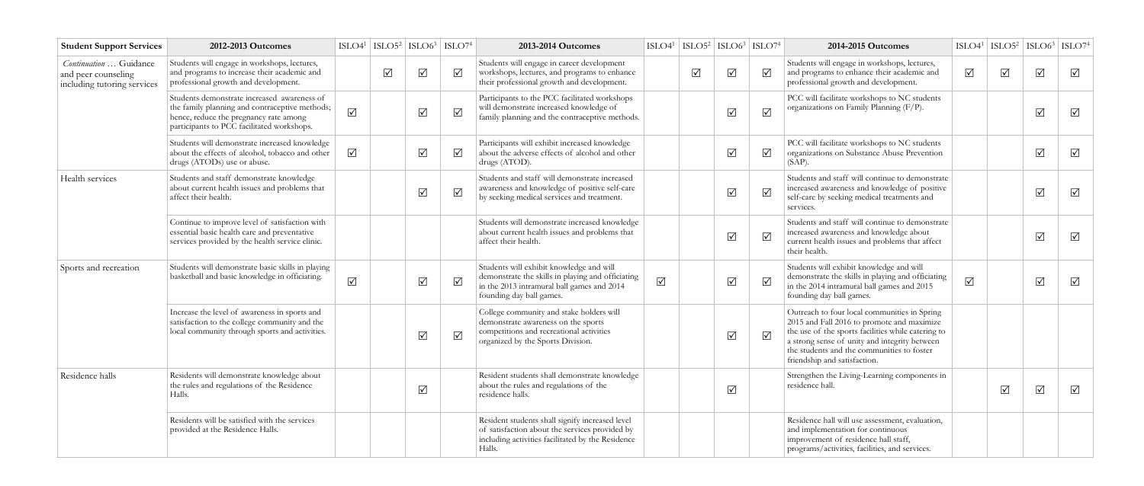| <b>Student Support Services</b>                                              | 2012-2013 Outcomes                                                                                                                                                                    | $ISLO41$ $ISLO52$ $  ISLO63$ $  ISLO74$ |            |                         |                 | 2013-2014 Outcomes                                                                                                                                                      |            |          | $\text{ISLO4}^1$   $\text{ISLO5}^2$   $\text{ISLO6}^3$   $\text{ISLO7}^4$ |           | 2014-2015 Outcomes                                                                                                                                                                                                                                                              |            | $\text{ISLO4}^1$   $\text{ISLO5}^2$   $\text{ISLO6}^3$   $\text{ISLO7}^4$ |                 |                 |
|------------------------------------------------------------------------------|---------------------------------------------------------------------------------------------------------------------------------------------------------------------------------------|-----------------------------------------|------------|-------------------------|-----------------|-------------------------------------------------------------------------------------------------------------------------------------------------------------------------|------------|----------|---------------------------------------------------------------------------|-----------|---------------------------------------------------------------------------------------------------------------------------------------------------------------------------------------------------------------------------------------------------------------------------------|------------|---------------------------------------------------------------------------|-----------------|-----------------|
| Continuation  Guidance<br>and peer counseling<br>including tutoring services | Students will engage in workshops, lectures,<br>and programs to increase their academic and<br>professional growth and development.                                                   |                                         | $\sqrt{ }$ | $\sqrt{ }$              | $\sqrt{ }$      | Students will engage in career development<br>workshops, lectures, and programs to enhance<br>their professional growth and development.                                |            | $\Delta$ | $\sqrt{ }$                                                                | ☑         | Students will engage in workshops, lectures,<br>and programs to enhance their academic and<br>professional growth and development.                                                                                                                                              | $\sqrt{ }$ | $\Delta$                                                                  | $\sqrt{ }$      | $\Delta$        |
|                                                                              | Students demonstrate increased awareness of<br>the family planning and contraceptive methods;<br>hence, reduce the pregnancy rate among<br>participants to PCC facilitated workshops. | $\sqrt{}$                               |            | $\sqrt{ }$              | $\triangledown$ | Participants to the PCC facilitated workshops<br>will demonstrate increased knowledge of<br>family planning and the contraceptive methods.                              |            |          | $\sqrt{ }$                                                                | $\Delta$  | PCC will facilitate workshops to NC students<br>organizations on Family Planning (F/P).                                                                                                                                                                                         |            |                                                                           | $\sqrt{ }$      | $\sqrt{ }$      |
|                                                                              | Students will demonstrate increased knowledge<br>about the effects of alcohol, tobacco and other<br>drugs (ATODs) use or abuse.                                                       | $\Delta$                                |            | $\sqrt{ }$              | $\sqrt{ }$      | Participants will exhibit increased knowledge<br>about the adverse effects of alcohol and other<br>drugs (ATOD).                                                        |            |          | $\sqrt{}$                                                                 | ☑         | PCC will facilitate workshops to NC students<br>organizations on Substance Abuse Prevention<br>$(SAP)$ .                                                                                                                                                                        |            |                                                                           | $\sqrt{ }$      | $\Delta$        |
| Health services                                                              | Students and staff demonstrate knowledge<br>about current health issues and problems that<br>affect their health.                                                                     |                                         |            | $\sqrt{ }$              | ☑               | Students and staff will demonstrate increased<br>awareness and knowledge of positive self-care<br>by seeking medical services and treatment.                            |            |          | $\sqrt{}$                                                                 | $\Delta$  | Students and staff will continue to demonstrate<br>increased awareness and knowledge of positive<br>self-care by seeking medical treatments and<br>services.                                                                                                                    |            |                                                                           | $\sqrt{}$       | $\sqrt{ }$      |
|                                                                              | Continue to improve level of satisfaction with<br>essential basic health care and preventative<br>services provided by the health service clinic.                                     |                                         |            |                         |                 | Students will demonstrate increased knowledge<br>about current health issues and problems that<br>affect their health.                                                  |            |          | $\triangledown$                                                           | $\sqrt{}$ | Students and staff will continue to demonstrate<br>increased awareness and knowledge about<br>current health issues and problems that affect<br>their health.                                                                                                                   |            |                                                                           | $\sqrt{ }$      | $\sqrt{ }$      |
| Sports and recreation                                                        | Students will demonstrate basic skills in playing<br>basketball and basic knowledge in officiating.                                                                                   | $\sqrt{ }$                              |            | $\Delta$                | $\sqrt{ }$      | Students will exhibit knowledge and will<br>demonstrate the skills in playing and officiating<br>in the 2013 intramural ball games and 2014<br>founding day ball games. | $\sqrt{ }$ |          | $\sqrt{ }$                                                                | $\sqrt{}$ | Students will exhibit knowledge and will<br>demonstrate the skills in playing and officiating<br>in the 2014 intramural ball games and 2015<br>founding day ball games.                                                                                                         | $\sqrt{ }$ |                                                                           | $\sqrt{}$       | $\sqrt{ }$      |
|                                                                              | Increase the level of awareness in sports and<br>satisfaction to the college community and the<br>local community through sports and activities.                                      |                                         |            | $\sqrt{ }$              | $\sqrt{}$       | College community and stake holders will<br>demonstrate awareness on the sports<br>competitions and recreational activities<br>organized by the Sports Division.        |            |          | $\sqrt{ }$                                                                | $\Delta$  | Outreach to four local communities in Spring<br>2015 and Fall 2016 to promote and maximize<br>the use of the sports facilities while catering to<br>a strong sense of unity and integrity between<br>the students and the communities to foster<br>friendship and satisfaction. |            |                                                                           |                 |                 |
| Residence halls                                                              | Residents will demonstrate knowledge about<br>the rules and regulations of the Residence<br>Halls.                                                                                    |                                         |            | $\overline{\mathsf{M}}$ |                 | Resident students shall demonstrate knowledge<br>about the rules and regulations of the<br>residence halls.                                                             |            |          | ☑                                                                         |           | Strengthen the Living-Learning components in<br>residence hall.                                                                                                                                                                                                                 |            | $\triangledown$                                                           | $\triangledown$ | $\triangledown$ |
|                                                                              | Residents will be satisfied with the services<br>provided at the Residence Halls.                                                                                                     |                                         |            |                         |                 | Resident students shall signify increased level<br>of satisfaction about the services provided by<br>including activities facilitated by the Residence<br>Halls.        |            |          |                                                                           |           | Residence hall will use assessment, evaluation,<br>and implementation for continuous<br>improvement of residence hall staff,<br>programs/activities, facilities, and services.                                                                                                  |            |                                                                           |                 |                 |